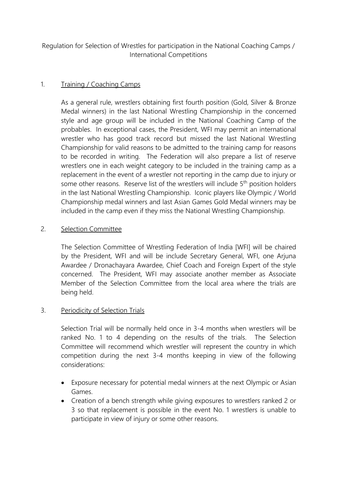Regulation for Selection of Wrestles for participation in the National Coaching Camps / International Competitions

## 1. Training / Coaching Camps

As a general rule, wrestlers obtaining first fourth position (Gold, Silver & Bronze Medal winners) in the last National Wrestling Championship in the concerned style and age group will be included in the National Coaching Camp of the probables. In exceptional cases, the President, WFI may permit an international wrestler who has good track record but missed the last National Wrestling Championship for valid reasons to be admitted to the training camp for reasons to be recorded in writing. The Federation will also prepare a list of reserve wrestlers one in each weight category to be included in the training camp as a replacement in the event of a wrestler not reporting in the camp due to injury or some other reasons. Reserve list of the wrestlers will include 5<sup>th</sup> position holders in the last National Wrestling Championship. Iconic players like Olympic / World Championship medal winners and last Asian Games Gold Medal winners may be included in the camp even if they miss the National Wrestling Championship.

## 2. Selection Committee

The Selection Committee of Wrestling Federation of India [WFI] will be chaired by the President, WFI and will be include Secretary General, WFI, one Arjuna Awardee / Dronachayara Awardee, Chief Coach and Foreign Expert of the style concerned. The President, WFI may associate another member as Associate Member of the Selection Committee from the local area where the trials are being held.

## 3. Periodicity of Selection Trials

Selection Trial will be normally held once in 3-4 months when wrestlers will be ranked No. 1 to 4 depending on the results of the trials. The Selection Committee will recommend which wrestler will represent the country in which competition during the next 3-4 months keeping in view of the following considerations:

- Exposure necessary for potential medal winners at the next Olympic or Asian Games.
- Creation of a bench strength while giving exposures to wrestlers ranked 2 or 3 so that replacement is possible in the event No. 1 wrestlers is unable to participate in view of injury or some other reasons.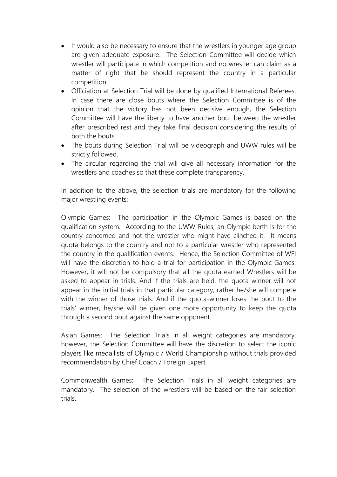- It would also be necessary to ensure that the wrestlers in younger age group are given adequate exposure. The Selection Committee will decide which wrestler will participate in which competition and no wrestler can claim as a matter of right that he should represent the country in a particular competition.
- Officiation at Selection Trial will be done by qualified International Referees. In case there are close bouts where the Selection Committee is of the opinion that the victory has not been decisive enough, the Selection Committee will have the liberty to have another bout between the wrestler after prescribed rest and they take final decision considering the results of both the bouts.
- The bouts during Selection Trial will be videograph and UWW rules will be strictly followed.
- The circular regarding the trial will give all necessary information for the wrestlers and coaches so that these complete transparency.

In addition to the above, the selection trials are mandatory for the following major wrestling events:

Olympic Games: The participation in the Olympic Games is based on the qualification system. According to the UWW Rules, an Olympic berth is for the country concerned and not the wrestler who might have clinched it. It means quota belongs to the country and not to a particular wrestler who represented the country in the qualification events. Hence, the Selection Committee of WFI will have the discretion to hold a trial for participation in the Olympic Games. However, it will not be compulsory that all the quota earned Wrestlers will be asked to appear in trials. And if the trials are held, the quota winner will not appear in the initial trials in that particular category, rather he/she will compete with the winner of those trials. And if the quota-winner loses the bout to the trials' winner, he/she will be given one more opportunity to keep the quota through a second bout against the same opponent.

Asian Games: The Selection Trials in all weight categories are mandatory, however, the Selection Committee will have the discretion to select the iconic players like medallists of Olympic / World Championship without trials provided recommendation by Chief Coach / Foreign Expert.

Commonwealth Games: The Selection Trials in all weight categories are mandatory. The selection of the wrestlers will be based on the fair selection trials.